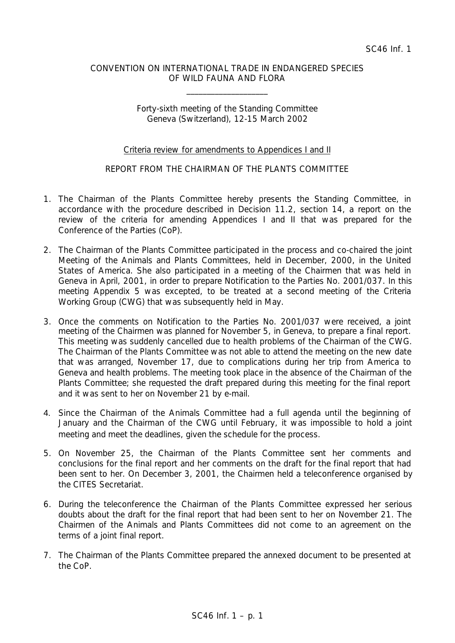### CONVENTION ON INTERNATIONAL TRADE IN ENDANGERED SPECIES OF WILD FAUNA AND FLORA

\_\_\_\_\_\_\_\_\_\_\_\_\_\_\_\_\_\_\_\_

Forty-sixth meeting of the Standing Committee Geneva (Switzerland), 12-15 March 2002

### Criteria review for amendments to Appendices I and II

### REPORT FROM THE CHAIRMAN OF THE PLANTS COMMITTEE

- 1. The Chairman of the Plants Committee hereby presents the Standing Committee, in accordance with the procedure described in Decision 11.2, section 14, a report on the review of the criteria for amending Appendices I and II that was prepared for the Conference of the Parties (CoP).
- 2. The Chairman of the Plants Committee participated in the process and co-chaired the joint Meeting of the Animals and Plants Committees, held in December, 2000, in the United States of America. She also participated in a meeting of the Chairmen that was held in Geneva in April, 2001, in order to prepare Notification to the Parties No. 2001/037. In this meeting Appendix 5 was excepted, to be treated at a second meeting of the Criteria Working Group (CWG) that was subsequently held in May.
- 3. Once the comments on Notification to the Parties No. 2001/037 were received, a joint meeting of the Chairmen was planned for November 5, in Geneva, to prepare a final report. This meeting was suddenly cancelled due to health problems of the Chairman of the CWG. The Chairman of the Plants Committee was not able to attend the meeting on the new date that was arranged, November 17, due to complications during her trip from America to Geneva and health problems. The meeting took place in the absence of the Chairman of the Plants Committee; she requested the draft prepared during this meeting for the final report and it was sent to her on November 21 by e-mail.
- 4. Since the Chairman of the Animals Committee had a full agenda until the beginning of January and the Chairman of the CWG until February, it was impossible to hold a joint meeting and meet the deadlines, given the schedule for the process.
- 5. On November 25, the Chairman of the Plants Committee sent her comments and conclusions for the final report and her comments on the draft for the final report that had been sent to her. On December 3, 2001, the Chairmen held a teleconference organised by the CITES Secretariat.
- 6. During the teleconference the Chairman of the Plants Committee expressed her serious doubts about the draft for the final report that had been sent to her on November 21. The Chairmen of the Animals and Plants Committees did not come to an agreement on the terms of a joint final report.
- 7. The Chairman of the Plants Committee prepared the annexed document to be presented at the CoP.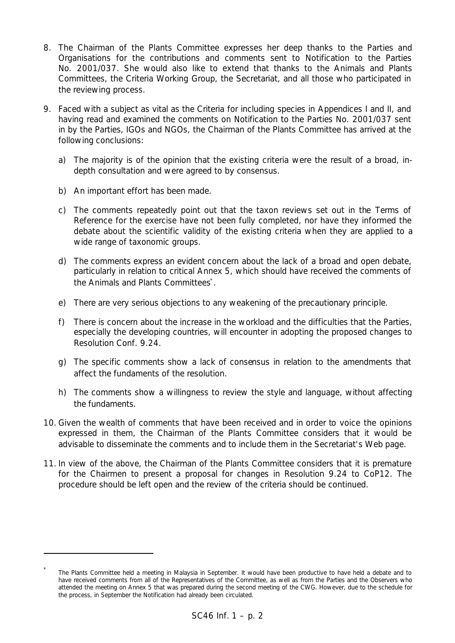- 8. The Chairman of the Plants Committee expresses her deep thanks to the Parties and Organisations for the contributions and comments sent to Notification to the Parties No. 2001/037. She would also like to extend that thanks to the Animals and Plants Committees, the Criteria Working Group, the Secretariat, and all those who participated in the reviewing process.
- 9. Faced with a subject as vital as the Criteria for including species in Appendices I and II, and having read and examined the comments on Notification to the Parties No. 2001/037 sent in by the Parties, IGOs and NGOs, the Chairman of the Plants Committee has arrived at the following conclusions:
	- a) The majority is of the opinion that the existing criteria were the result of a broad, indepth consultation and were agreed to by consensus.
	- b) An important effort has been made.

i,

- c) The comments repeatedly point out that the taxon reviews set out in the Terms of Reference for the exercise have not been fully completed, nor have they informed the debate about the scientific validity of the existing criteria when they are applied to a wide range of taxonomic groups.
- d) The comments express an evident concern about the lack of a broad and open debate, particularly in relation to critical Annex 5, which should have received the comments of the Animals and Plants Committees\*.
- e) There are very serious objections to any weakening of the precautionary principle.
- f) There is concern about the increase in the workload and the difficulties that the Parties, especially the developing countries, will encounter in adopting the proposed changes to Resolution Conf. 9.24.
- g) The specific comments show a lack of consensus in relation to the amendments that affect the fundaments of the resolution.
- h) The comments show a willingness to review the style and language, without affecting the fundaments.
- 10. Given the wealth of comments that have been received and in order to voice the opinions expressed in them, the Chairman of the Plants Committee considers that it would be advisable to disseminate the comments and to include them in the Secretariat's Web page.
- 11. In view of the above, the Chairman of the Plants Committee considers that it is premature for the Chairmen to present a proposal for changes in Resolution 9.24 to CoP12. The procedure should be left open and the review of the criteria should be continued.

<sup>\*</sup> The Plants Committee held a meeting in Malaysia in September. It would have been productive to have held a debate and to have received comments from all of the Representatives of the Committee, as well as from the Parties and the Observers who attended the meeting on Annex 5 that was prepared during the second meeting of the CWG. However, due to the schedule for the process, in September the Notification had already been circulated.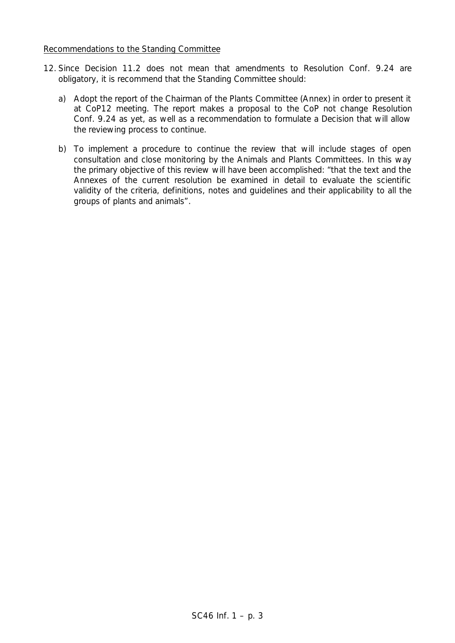#### Recommendations to the Standing Committee

- 12. Since Decision 11.2 does not mean that amendments to Resolution Conf. 9.24 are obligatory, it is recommend that the Standing Committee should:
	- a) Adopt the report of the Chairman of the Plants Committee (Annex) in order to present it at CoP12 meeting. The report makes a proposal to the CoP not change Resolution Conf. 9.24 as yet, as well as a recommendation to formulate a Decision that will allow the reviewing process to continue.
	- b) To implement a procedure to continue the review that will include stages of open consultation and close monitoring by the Animals and Plants Committees. In this way the primary objective of this review will have been accomplished: "*that the text and the Annexes of the current resolution be examined in detail to evaluate the scientific validity of the criteria, definitions, notes and guidelines and their applicability to all the groups of plants and animals".*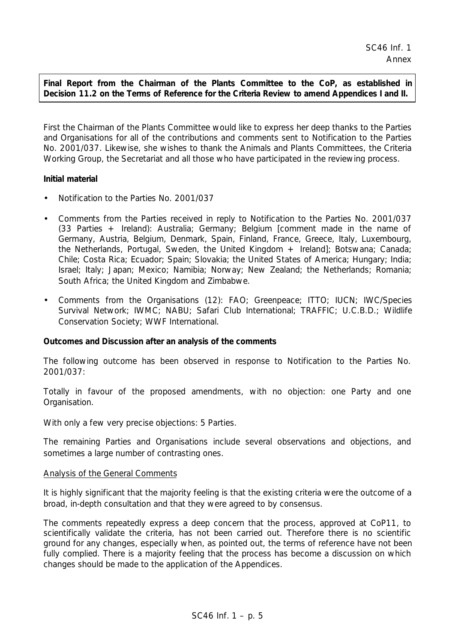# **Final Report from the Chairman of the Plants Committee to the CoP, as established in Decision 11.2 on the Terms of Reference for the Criteria Review to amend Appendices I and II.**

First the Chairman of the Plants Committee would like to express her deep thanks to the Parties and Organisations for all of the contributions and comments sent to Notification to the Parties No. 2001/037. Likewise, she wishes to thank the Animals and Plants Committees, the Criteria Working Group, the Secretariat and all those who have participated in the reviewing process.

# **Initial material**

- Notification to the Parties No. 2001/037
- Comments from the Parties received in reply to Notification to the Parties No. 2001/037 (33 Parties + Ireland): Australia; Germany; Belgium [comment made in the name of Germany, Austria, Belgium, Denmark, Spain, Finland, France, Greece, Italy, Luxembourg, the Netherlands, Portugal, Sweden, the United Kingdom + Ireland]; Botswana; Canada; Chile; Costa Rica; Ecuador; Spain; Slovakia; the United States of America; Hungary; India; Israel; Italy; Japan; Mexico; Namibia; Norway; New Zealand; the Netherlands; Romania; South Africa; the United Kingdom and Zimbabwe.
- Comments from the Organisations (12): FAO; Greenpeace; ITTO; IUCN; IWC/Species Survival Network; IWMC; NABU; Safari Club International; TRAFFIC; U.C.B.D.; Wildlife Conservation Society; WWF International.

### **Outcomes and Discussion after an analysis of the comments**

The following outcome has been observed in response to Notification to the Parties No. 2001/037:

Totally in favour of the proposed amendments, with no objection: one Party and one Organisation.

With only a few very precise objections: 5 Parties.

The remaining Parties and Organisations include several observations and objections, and sometimes a large number of contrasting ones.

### Analysis of the General Comments

It is highly significant that the majority feeling is that the existing criteria were the outcome of a broad, in-depth consultation and that they were agreed to by consensus.

The comments repeatedly express a deep concern that the process, approved at CoP11, to scientifically validate the criteria, has not been carried out. Therefore there is no scientific ground for any changes, especially when, as pointed out, the terms of reference have not been fully complied. There is a majority feeling that the process has become a discussion on which changes should be made to the application of the Appendices.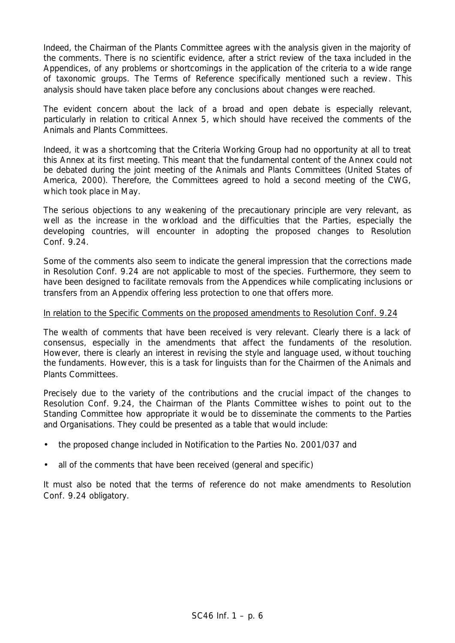Indeed, the Chairman of the Plants Committee agrees with the analysis given in the majority of the comments. There is no scientific evidence, after a strict review of the taxa included in the Appendices, of any problems or shortcomings in the application of the criteria to a wide range of taxonomic groups. The Terms of Reference specifically mentioned such a review. This analysis should have taken place before any conclusions about changes were reached.

The evident concern about the lack of a broad and open debate is especially relevant, particularly in relation to critical Annex 5, which should have received the comments of the Animals and Plants Committees.

Indeed, it was a shortcoming that the Criteria Working Group had no opportunity at all to treat this Annex at its first meeting. This meant that the fundamental content of the Annex could not be debated during the joint meeting of the Animals and Plants Committees (United States of America, 2000). Therefore, the Committees agreed to hold a second meeting of the CWG, which took place in May.

The serious objections to any weakening of the precautionary principle are very relevant, as well as the increase in the workload and the difficulties that the Parties, especially the developing countries, will encounter in adopting the proposed changes to Resolution Conf. 9.24.

Some of the comments also seem to indicate the general impression that the corrections made in Resolution Conf. 9.24 are not applicable to most of the species. Furthermore, they seem to have been designed to facilitate removals from the Appendices while complicating inclusions or transfers from an Appendix offering less protection to one that offers more.

### In relation to the Specific Comments on the proposed amendments to Resolution Conf. 9.24

The wealth of comments that have been received is very relevant. Clearly there is a lack of consensus, especially in the amendments that affect the fundaments of the resolution. However, there is clearly an interest in revising the style and language used, without touching the fundaments. However, this is a task for linguists than for the Chairmen of the Animals and Plants Committees.

Precisely due to the variety of the contributions and the crucial impact of the changes to Resolution Conf. 9.24, the Chairman of the Plants Committee wishes to point out to the Standing Committee how appropriate it would be to disseminate the comments to the Parties and Organisations. They could be presented as a table that would include:

- the proposed change included in Notification to the Parties No. 2001/037 and
- all of the comments that have been received (general and specific)

It must also be noted that the terms of reference do not make amendments to Resolution Conf. 9.24 obligatory.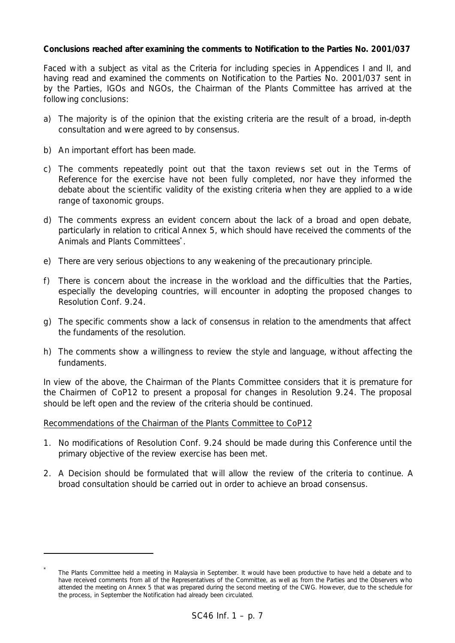## **Conclusions reached after examining the comments to Notification to the Parties No. 2001/037**

Faced with a subject as vital as the Criteria for including species in Appendices I and II, and having read and examined the comments on Notification to the Parties No. 2001/037 sent in by the Parties, IGOs and NGOs, the Chairman of the Plants Committee has arrived at the following conclusions:

- a) The majority is of the opinion that the existing criteria are the result of a broad, in-depth consultation and were agreed to by consensus.
- b) An important effort has been made.

i,

- c) The comments repeatedly point out that the taxon reviews set out in the Terms of Reference for the exercise have not been fully completed, nor have they informed the debate about the scientific validity of the existing criteria when they are applied to a wide range of taxonomic groups.
- d) The comments express an evident concern about the lack of a broad and open debate, particularly in relation to critical Annex 5, which should have received the comments of the Animals and Plants Committees\*.
- e) There are very serious objections to any weakening of the precautionary principle.
- f) There is concern about the increase in the workload and the difficulties that the Parties, especially the developing countries, will encounter in adopting the proposed changes to Resolution Conf. 9.24.
- g) The specific comments show a lack of consensus in relation to the amendments that affect the fundaments of the resolution.
- h) The comments show a willingness to review the style and language, without affecting the fundaments.

In view of the above, the Chairman of the Plants Committee considers that it is premature for the Chairmen of CoP12 to present a proposal for changes in Resolution 9.24. The proposal should be left open and the review of the criteria should be continued.

### Recommendations of the Chairman of the Plants Committee to CoP12

- 1. No modifications of Resolution Conf. 9.24 should be made during this Conference until the primary objective of the review exercise has been met.
- 2. A Decision should be formulated that will allow the review of the criteria to continue. A broad consultation should be carried out in order to achieve an broad consensus.

<sup>\*</sup> The Plants Committee held a meeting in Malaysia in September. It would have been productive to have held a debate and to have received comments from all of the Representatives of the Committee, as well as from the Parties and the Observers who attended the meeting on Annex 5 that was prepared during the second meeting of the CWG. However, due to the schedule for the process, in September the Notification had already been circulated.